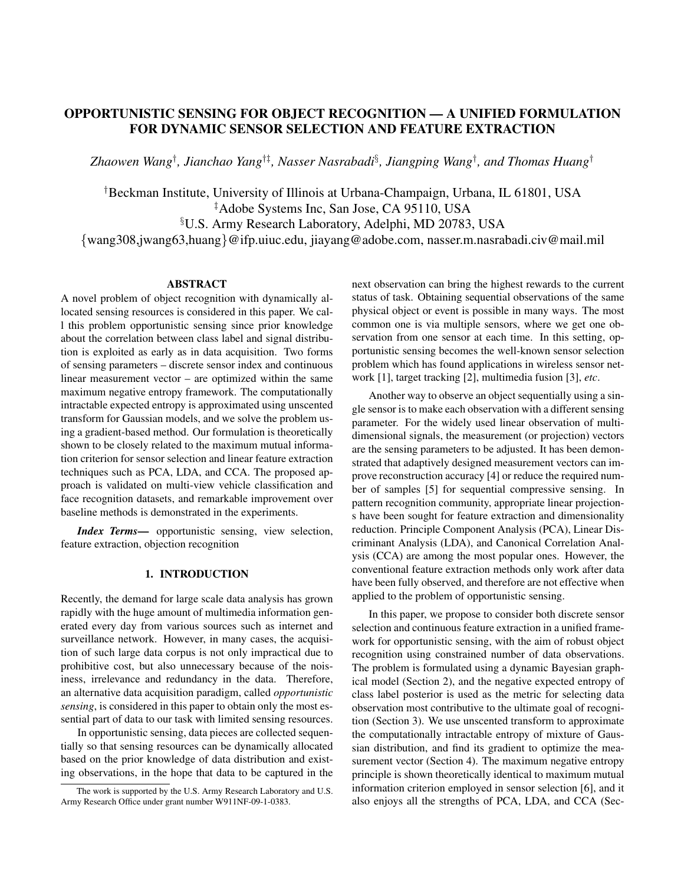# OPPORTUNISTIC SENSING FOR OBJECT RECOGNITION — A UNIFIED FORMULATION FOR DYNAMIC SENSOR SELECTION AND FEATURE EXTRACTION

*Zhaowen Wang† , Jianchao Yang†‡, Nasser Nasrabadi§ , Jiangping Wang† , and Thomas Huang†*

*†*Beckman Institute, University of Illinois at Urbana-Champaign, Urbana, IL 61801, USA *‡*Adobe Systems Inc, San Jose, CA 95110, USA *§*U.S. Army Research Laboratory, Adelphi, MD 20783, USA *{*wang308,jwang63,huang*}*@ifp.uiuc.edu, jiayang@adobe.com, nasser.m.nasrabadi.civ@mail.mil

## ABSTRACT

A novel problem of object recognition with dynamically allocated sensing resources is considered in this paper. We call this problem opportunistic sensing since prior knowledge about the correlation between class label and signal distribution is exploited as early as in data acquisition. Two forms of sensing parameters – discrete sensor index and continuous linear measurement vector – are optimized within the same maximum negative entropy framework. The computationally intractable expected entropy is approximated using unscented transform for Gaussian models, and we solve the problem using a gradient-based method. Our formulation is theoretically shown to be closely related to the maximum mutual information criterion for sensor selection and linear feature extraction techniques such as PCA, LDA, and CCA. The proposed approach is validated on multi-view vehicle classification and face recognition datasets, and remarkable improvement over baseline methods is demonstrated in the experiments.

*Index Terms*— opportunistic sensing, view selection, feature extraction, objection recognition

### 1. INTRODUCTION

Recently, the demand for large scale data analysis has grown rapidly with the huge amount of multimedia information generated every day from various sources such as internet and surveillance network. However, in many cases, the acquisition of such large data corpus is not only impractical due to prohibitive cost, but also unnecessary because of the noisiness, irrelevance and redundancy in the data. Therefore, an alternative data acquisition paradigm, called *opportunistic sensing*, is considered in this paper to obtain only the most essential part of data to our task with limited sensing resources.

In opportunistic sensing, data pieces are collected sequentially so that sensing resources can be dynamically allocated based on the prior knowledge of data distribution and existing observations, in the hope that data to be captured in the next observation can bring the highest rewards to the current status of task. Obtaining sequential observations of the same physical object or event is possible in many ways. The most common one is via multiple sensors, where we get one observation from one sensor at each time. In this setting, opportunistic sensing becomes the well-known sensor selection problem which has found applications in wireless sensor network [1], target tracking [2], multimedia fusion [3], *etc*.

Another way to observe an object sequentially using a single sensor is to make each observation with a different sensing parameter. For the widely used linear observation of multidimensional signals, the measurement (or projection) vectors are the sensing parameters to be adjusted. It has been demonstrated that adaptively designed measurement vectors can improve reconstruction accuracy [4] or reduce the required number of samples [5] for sequential compressive sensing. In pattern recognition community, appropriate linear projections have been sought for feature extraction and dimensionality reduction. Principle Component Analysis (PCA), Linear Discriminant Analysis (LDA), and Canonical Correlation Analysis (CCA) are among the most popular ones. However, the conventional feature extraction methods only work after data have been fully observed, and therefore are not effective when applied to the problem of opportunistic sensing.

In this paper, we propose to consider both discrete sensor selection and continuous feature extraction in a unified framework for opportunistic sensing, with the aim of robust object recognition using constrained number of data observations. The problem is formulated using a dynamic Bayesian graphical model (Section 2), and the negative expected entropy of class label posterior is used as the metric for selecting data observation most contributive to the ultimate goal of recognition (Section 3). We use unscented transform to approximate the computationally intractable entropy of mixture of Gaussian distribution, and find its gradient to optimize the measurement vector (Section 4). The maximum negative entropy principle is shown theoretically identical to maximum mutual information criterion employed in sensor selection [6], and it also enjoys all the strengths of PCA, LDA, and CCA (Sec-

The work is supported by the U.S. Army Research Laboratory and U.S. Army Research Office under grant number W911NF-09-1-0383.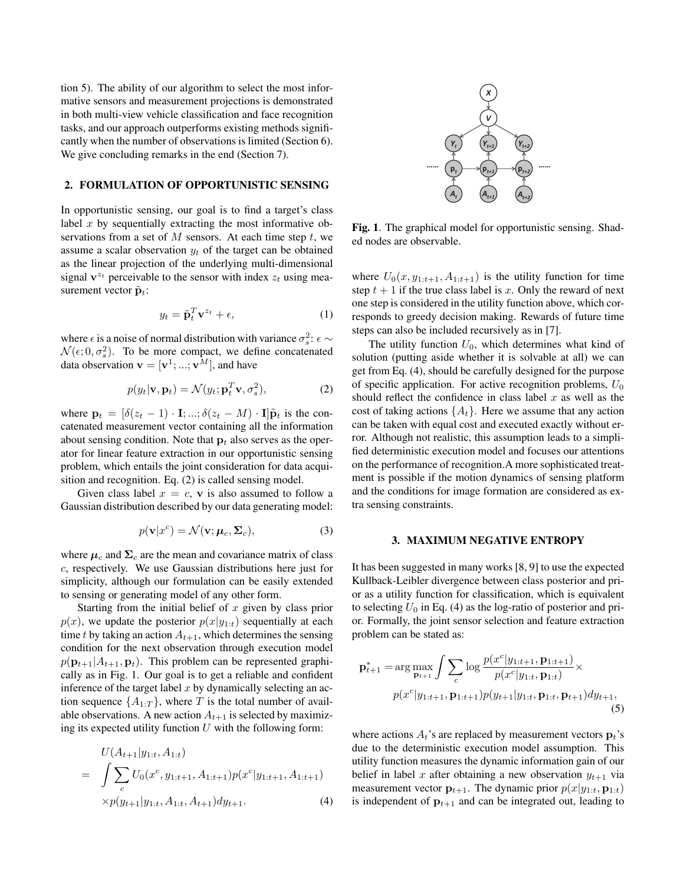tion 5). The ability of our algorithm to select the most informative sensors and measurement projections is demonstrated in both multi-view vehicle classification and face recognition tasks, and our approach outperforms existing methods significantly when the number of observations is limited (Section 6). We give concluding remarks in the end (Section 7).

# 2. FORMULATION OF OPPORTUNISTIC SENSING

In opportunistic sensing, our goal is to find a target's class label x by sequentially extracting the most informative observations from a set of *M* sensors. At each time step *t*, we assume a scalar observation  $y_t$  of the target can be obtained as the linear projection of the underlying multi-dimensional signal  $v^{z_t}$  perceivable to the sensor with index  $z_t$  using measurement vector  $\tilde{\mathbf{p}}_t$ :

$$
y_t = \tilde{\mathbf{p}}_t^T \mathbf{v}^{z_t} + \epsilon,\tag{1}
$$

where  $\epsilon$  is a noise of normal distribution with variance  $\sigma_s^2$ :  $\epsilon \sim$  $\mathcal{N}(\epsilon; 0, \sigma_s^2)$ . To be more compact, we define concatenated data observation  $\mathbf{v} = [\mathbf{v}^1; ...; \mathbf{v}^M]$ , and have

$$
p(y_t|\mathbf{v}, \mathbf{p}_t) = \mathcal{N}(y_t; \mathbf{p}_t^T \mathbf{v}, \sigma_s^2),
$$
 (2)

where  $\mathbf{p}_t = [\delta(z_t - 1) \cdot \mathbf{I}; \dots; \delta(z_t - M) \cdot \mathbf{I}] \tilde{\mathbf{p}}_t$  is the concatenated measurement vector containing all the information about sensing condition. Note that **p***<sup>t</sup>* also serves as the operator for linear feature extraction in our opportunistic sensing problem, which entails the joint consideration for data acquisition and recognition. Eq. (2) is called sensing model.

Given class label  $x = c$ , **v** is also assumed to follow a Gaussian distribution described by our data generating model:

$$
p(\mathbf{v}|x^c) = \mathcal{N}(\mathbf{v}; \boldsymbol{\mu}_c, \boldsymbol{\Sigma}_c),
$$
 (3)

where  $\mu_c$  and  $\Sigma_c$  are the mean and covariance matrix of class *c*, respectively. We use Gaussian distributions here just for simplicity, although our formulation can be easily extended to sensing or generating model of any other form.

Starting from the initial belief of *x* given by class prior  $p(x)$ , we update the posterior  $p(x|y_{1:t})$  sequentially at each time *t* by taking an action  $A_{t+1}$ , which determines the sensing condition for the next observation through execution model  $p(\mathbf{p}_{t+1} | A_{t+1}, \mathbf{p}_t)$ . This problem can be represented graphically as in Fig. 1. Our goal is to get a reliable and confident inference of the target label *x* by dynamically selecting an action sequence  $\{A_{1:T}\}$ , where *T* is the total number of available observations. A new action  $A_{t+1}$  is selected by maximizing its expected utility function *U* with the following form:

$$
U(A_{t+1}|y_{1:t}, A_{1:t})
$$
  
= 
$$
\int_{c} \sum_{c} U_0(x^c, y_{1:t+1}, A_{1:t+1}) p(x^c | y_{1:t+1}, A_{1:t+1})
$$
  

$$
\times p(y_{t+1}|y_{1:t}, A_{1:t}, A_{t+1}) dy_{t+1}.
$$
 (4)



Fig. 1. The graphical model for opportunistic sensing. Shaded nodes are observable.

where  $U_0(x, y_{1:t+1}, A_{1:t+1})$  is the utility function for time step  $t + 1$  if the true class label is x. Only the reward of next one step is considered in the utility function above, which corresponds to greedy decision making. Rewards of future time steps can also be included recursively as in [7].

The utility function  $U_0$ , which determines what kind of solution (putting aside whether it is solvable at all) we can get from Eq. (4), should be carefully designed for the purpose of specific application. For active recognition problems, *U*<sup>0</sup> should reflect the confidence in class label *x* as well as the cost of taking actions  ${A_t}$ . Here we assume that any action can be taken with equal cost and executed exactly without error. Although not realistic, this assumption leads to a simplified deterministic execution model and focuses our attentions on the performance of recognition.A more sophisticated treatment is possible if the motion dynamics of sensing platform and the conditions for image formation are considered as extra sensing constraints.

### 3. MAXIMUM NEGATIVE ENTROPY

It has been suggested in many works [8, 9] to use the expected Kullback-Leibler divergence between class posterior and prior as a utility function for classification, which is equivalent to selecting *U*<sup>0</sup> in Eq. (4) as the log-ratio of posterior and prior. Formally, the joint sensor selection and feature extraction problem can be stated as:

$$
\mathbf{p}_{t+1}^{*} = \arg \max_{\mathbf{p}_{t+1}} \int \sum_{c} \log \frac{p(x^{c}|y_{1:t+1}, \mathbf{p}_{1:t+1})}{p(x^{c}|y_{1:t}, \mathbf{p}_{1:t})} \times p(x^{c}|y_{1:t+1}, \mathbf{p}_{1:t+1}) p(y_{t+1}|y_{1:t}, \mathbf{p}_{1:t}, \mathbf{p}_{t+1}) dy_{t+1},
$$
\n(5)

where actions  $A_t$ 's are replaced by measurement vectors  $\mathbf{p}_t$ 's due to the deterministic execution model assumption. This utility function measures the dynamic information gain of our belief in label *x* after obtaining a new observation  $y_{t+1}$  via measurement vector  $\mathbf{p}_{t+1}$ . The dynamic prior  $p(x|y_{1:t}, \mathbf{p}_{1:t})$ is independent of  $\mathbf{p}_{t+1}$  and can be integrated out, leading to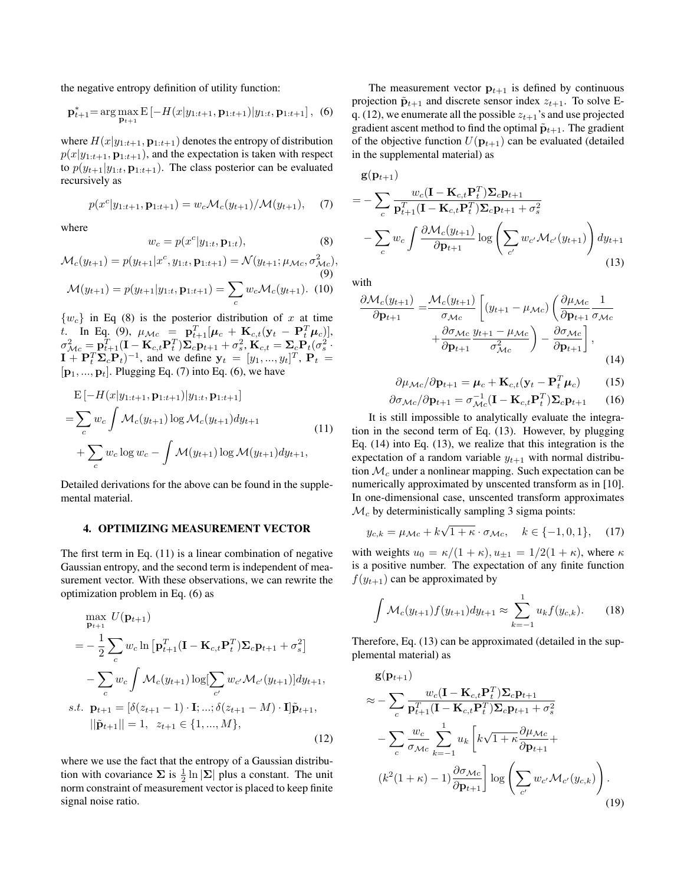the negative entropy definition of utility function:

$$
\mathbf{p}_{t+1}^* = \arg \max_{\mathbf{p}_{t+1}} \mathbf{E}\left[-H(x|y_{1:t+1}, \mathbf{p}_{1:t+1})|y_{1:t}, \mathbf{p}_{1:t+1}\right], \tag{6}
$$

where  $H(x|y_{1:t+1}, \mathbf{p}_{1:t+1})$  denotes the entropy of distribution  $p(x|y_{1:t+1}, \mathbf{p}_{1:t+1})$ , and the expectation is taken with respect to  $p(y_{t+1}|y_{1:t}, \mathbf{p}_{1:t+1})$ . The class posterior can be evaluated recursively as

$$
p(x^{c}|y_{1:t+1}, \mathbf{p}_{1:t+1}) = w_{c} \mathcal{M}_{c}(y_{t+1}) / \mathcal{M}(y_{t+1}), \quad (7)
$$

where

$$
w_c = p(x^c | y_{1:t}, \mathbf{p}_{1:t}),
$$
\n(8)

$$
\mathcal{M}_c(y_{t+1}) = p(y_{t+1}|x^c, y_{1:t}, \mathbf{p}_{1:t+1}) = \mathcal{N}(y_{t+1}; \mu_{\mathcal{M}c}, \sigma_{\mathcal{M}c}^2),
$$
  
(9)  

$$
\mathcal{M}(y_{t+1}) = p(y_{t+1}|y_{1:t}, \mathbf{p}_{1:t+1}) = \sum_c w_c \mathcal{M}_c(y_{t+1}).
$$
 (10)

 ${w_c}$  in Eq (8) is the posterior distribution of *x* at time *t*. In Eq. (9),  $\mu_{\mathcal{M}c} = \mathbf{p}_{t+1}^T[\mu_c + \mathbf{K}_{c,t}(\mathbf{y}_t - \mathbf{P}_t^T\mu_c)],$  $\sigma_{\mathcal{M}_c}^2 = \mathbf{p}_{t+1}^T (\mathbf{I} - \mathbf{K}_{c,t} \mathbf{P}_t^T) \mathbf{\Sigma}_c \mathbf{p}_{t+1} + \sigma_s^2, \mathbf{K}_{c,t} = \mathbf{\Sigma}_c \mathbf{P}_t (\sigma_s^2 - \sigma_s^2)$  $\mathbf{I} + \mathbf{P}_t^T \mathbf{\Sigma}_c \mathbf{P}_t$ )<sup>-1</sup>, and we define  $\mathbf{y}_t = [y_1, ..., y_t]^T$ ,  $\mathbf{P}_t =$ [**p**1*, ...,* **p***t*]. Plugging Eq. (7) into Eq. (6), we have

$$
E\left[-H(x|y_{1:t+1}, \mathbf{p}_{1:t+1})|y_{1:t}, \mathbf{p}_{1:t+1}\right]
$$
  
=  $\sum_{c} w_c \int \mathcal{M}_c(y_{t+1}) \log \mathcal{M}_c(y_{t+1}) dy_{t+1}$   
+  $\sum_{c} w_c \log w_c - \int \mathcal{M}(y_{t+1}) \log \mathcal{M}(y_{t+1}) dy_{t+1},$  (11)

Detailed derivations for the above can be found in the supplemental material.

#### 4. OPTIMIZING MEASUREMENT VECTOR

The first term in Eq. (11) is a linear combination of negative Gaussian entropy, and the second term is independent of measurement vector. With these observations, we can rewrite the optimization problem in Eq. (6) as

$$
\max_{\mathbf{p}_{t+1}} U(\mathbf{p}_{t+1})
$$
\n
$$
= -\frac{1}{2} \sum_{c} w_c \ln \left[ \mathbf{p}_{t+1}^T (\mathbf{I} - \mathbf{K}_{c,t} \mathbf{P}_t^T) \Sigma_c \mathbf{p}_{t+1} + \sigma_s^2 \right]
$$
\n
$$
- \sum_{c} w_c \int \mathcal{M}_c(y_{t+1}) \log \left[ \sum_{c'} w_{c'} \mathcal{M}_{c'}(y_{t+1}) \right] dy_{t+1},
$$
\ns.t.  $\mathbf{p}_{t+1} = \left[ \delta(z_{t+1} - 1) \cdot \mathbf{I}; \dots; \delta(z_{t+1} - M) \cdot \mathbf{I} \right] \tilde{\mathbf{p}}_{t+1},$   
\n
$$
||\tilde{\mathbf{p}}_{t+1}|| = 1, \ z_{t+1} \in \{1, \dots, M\},
$$
\n(12)

where we use the fact that the entropy of a Gaussian distribution with covariance  $\Sigma$  is  $\frac{1}{2} \ln |\Sigma|$  plus a constant. The unit norm constraint of measurement vector is placed to keep finite signal noise ratio.

The measurement vector  $\mathbf{p}_{t+1}$  is defined by continuous projection  $\tilde{\mathbf{p}}_{t+1}$  and discrete sensor index  $z_{t+1}$ . To solve Eq. (12), we enumerate all the possible  $z_{t+1}$ 's and use projected gradient ascent method to find the optimal  $\tilde{\mathbf{p}}_{t+1}$ . The gradient of the objective function  $U(\mathbf{p}_{t+1})$  can be evaluated (detailed in the supplemental material) as

$$
\mathbf{g}(\mathbf{p}_{t+1})
$$
\n
$$
= -\sum_{c} \frac{w_c(\mathbf{I} - \mathbf{K}_{c,t}\mathbf{P}_t^T)\mathbf{\Sigma}_c\mathbf{p}_{t+1}}{\mathbf{p}_{t+1}^T(\mathbf{I} - \mathbf{K}_{c,t}\mathbf{P}_t^T)\mathbf{\Sigma}_c\mathbf{p}_{t+1} + \sigma_s^2}
$$
\n
$$
- \sum_{c} w_c \int \frac{\partial \mathcal{M}_c(y_{t+1})}{\partial \mathbf{p}_{t+1}} \log \left( \sum_{c'} w_{c'} \mathcal{M}_{c'}(y_{t+1}) \right) dy_{t+1}
$$
\n(13)

with

$$
\frac{\partial \mathcal{M}_c(y_{t+1})}{\partial \mathbf{p}_{t+1}} = \frac{\mathcal{M}_c(y_{t+1})}{\sigma_{\mathcal{M}c}} \left[ (y_{t+1} - \mu_{\mathcal{M}c}) \left( \frac{\partial \mu_{\mathcal{M}c}}{\partial \mathbf{p}_{t+1}} \frac{1}{\sigma_{\mathcal{M}c}} + \frac{\partial \sigma_{\mathcal{M}c}}{\partial \mathbf{p}_{t+1}} \frac{y_{t+1} - \mu_{\mathcal{M}c}}{\sigma_{\mathcal{M}c}^2} \right) - \frac{\partial \sigma_{\mathcal{M}c}}{\partial \mathbf{p}_{t+1}} \right],
$$
\n(14)

$$
\partial \mu_{\mathcal{M}c} / \partial \mathbf{p}_{t+1} = \boldsymbol{\mu}_c + \mathbf{K}_{c,t} (\mathbf{y}_t - \mathbf{P}_t^T \boldsymbol{\mu}_c)
$$
(15)

$$
\partial \sigma_{\mathcal{M}c} / \partial \mathbf{p}_{t+1} = \sigma_{\mathcal{M}c}^{-1} (\mathbf{I} - \mathbf{K}_{c,t} \mathbf{P}_t^T) \mathbf{\Sigma}_c \mathbf{p}_{t+1} \qquad (16)
$$

It is still impossible to analytically evaluate the integration in the second term of Eq. (13). However, by plugging Eq. (14) into Eq. (13), we realize that this integration is the expectation of a random variable  $y_{t+1}$  with normal distribution *M<sup>c</sup>* under a nonlinear mapping. Such expectation can be numerically approximated by unscented transform as in [10]. In one-dimensional case, unscented transform approximates  $M_c$  by deterministically sampling 3 sigma points:

$$
y_{c,k} = \mu_{\mathcal{M}c} + k\sqrt{1+\kappa} \cdot \sigma_{\mathcal{M}c}, \quad k \in \{-1, 0, 1\},
$$
 (17)

with weights  $u_0 = \kappa/(1 + \kappa)$ ,  $u_{\pm 1} = 1/2(1 + \kappa)$ , where  $\kappa$ is a positive number. The expectation of any finite function  $f(y_{t+1})$  can be approximated by

$$
\int \mathcal{M}_c(y_{t+1}) f(y_{t+1}) dy_{t+1} \approx \sum_{k=-1}^1 u_k f(y_{c,k}).
$$
 (18)

Therefore, Eq. (13) can be approximated (detailed in the supplemental material) as

$$
\mathbf{g}(\mathbf{p}_{t+1})\n\approx -\sum_{c} \frac{w_c(\mathbf{I} - \mathbf{K}_{c,t}\mathbf{P}_t^T)\mathbf{\Sigma}_c\mathbf{p}_{t+1}}{\mathbf{p}_{t+1}^T(\mathbf{I} - \mathbf{K}_{c,t}\mathbf{P}_t^T)\mathbf{\Sigma}_c\mathbf{p}_{t+1} + \sigma_s^2}\n- \sum_{c} \frac{w_c}{\sigma_{\mathcal{M}c}} \sum_{k=-1}^1 u_k \left[ k\sqrt{1 + \kappa} \frac{\partial \mu_{\mathcal{M}c}}{\partial \mathbf{p}_{t+1}} + (k^2(1+\kappa) - 1) \frac{\partial \sigma_{\mathcal{M}c}}{\partial \mathbf{p}_{t+1}} \right] \log \left( \sum_{c'} w_{c'} \mathcal{M}_{c'}(y_{c,k}) \right).
$$
\n(19)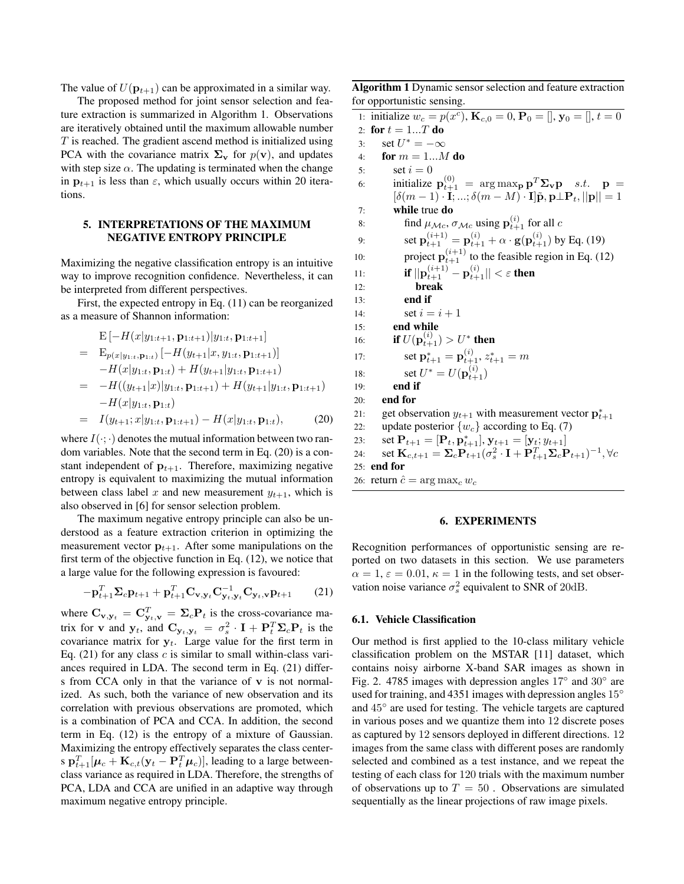The value of  $U(\mathbf{p}_{t+1})$  can be approximated in a similar way.

The proposed method for joint sensor selection and feature extraction is summarized in Algorithm 1. Observations are iteratively obtained until the maximum allowable number *T* is reached. The gradient ascend method is initialized using PCA with the covariance matrix  $\Sigma_{\mathbf{v}}$  for  $p(\mathbf{v})$ , and updates with step size  $\alpha$ . The updating is terminated when the change in  $p_{t+1}$  is less than  $\varepsilon$ , which usually occurs within 20 iterations.

# 5. INTERPRETATIONS OF THE MAXIMUM NEGATIVE ENTROPY PRINCIPLE

Maximizing the negative classification entropy is an intuitive way to improve recognition confidence. Nevertheless, it can be interpreted from different perspectives.

First, the expected entropy in Eq. (11) can be reorganized as a measure of Shannon information:

$$
E\left[-H(x|y_{1:t+1}, \mathbf{p}_{1:t+1})|y_{1:t}, \mathbf{p}_{1:t+1}\right]
$$
  
=  $E_{p(x|y_{1:t}, \mathbf{p}_{1:t})}\left[-H(y_{t+1}|x, y_{1:t}, \mathbf{p}_{1:t+1})\right]$   
 $-H(x|y_{1:t}, \mathbf{p}_{1:t}) + H(y_{t+1}|y_{1:t}, \mathbf{p}_{1:t+1})$   
=  $-H((y_{t+1}|x)|y_{1:t}, \mathbf{p}_{1:t+1}) + H(y_{t+1}|y_{1:t}, \mathbf{p}_{1:t+1})$   
 $-H(x|y_{1:t}, \mathbf{p}_{1:t})$  (23)

$$
= I(y_{t+1}; x|y_{1:t}, \mathbf{p}_{1:t+1}) - H(x|y_{1:t}, \mathbf{p}_{1:t}), \tag{20}
$$

where  $I(\cdot; \cdot)$  denotes the mutual information between two random variables. Note that the second term in Eq. (20) is a constant independent of  $\mathbf{p}_{t+1}$ . Therefore, maximizing negative entropy is equivalent to maximizing the mutual information between class label x and new measurement  $y_{t+1}$ , which is also observed in [6] for sensor selection problem.

The maximum negative entropy principle can also be understood as a feature extraction criterion in optimizing the measurement vector  $\mathbf{p}_{t+1}$ . After some manipulations on the first term of the objective function in Eq. (12), we notice that a large value for the following expression is favoured:

$$
-\mathbf{p}_{t+1}^T \Sigma_c \mathbf{p}_{t+1} + \mathbf{p}_{t+1}^T \mathbf{C}_{\mathbf{v},\mathbf{y}_t} \mathbf{C}_{\mathbf{y}_t,\mathbf{y}_t}^{-1} \mathbf{C}_{\mathbf{y}_t,\mathbf{v}} \mathbf{p}_{t+1}
$$
 (21)

where  $\mathbf{C}_{\mathbf{v},\mathbf{y}_t} = \mathbf{C}_{\mathbf{y}_t,\mathbf{v}}^T = \mathbf{\Sigma}_c \mathbf{P}_t$  is the cross-covariance matrix for **v** and **y**<sub>t</sub>, and **C**<sub>**y**<sub>t</sub></sub>,  $\mathbf{y}_t = \sigma_s^2 \cdot \mathbf{I} + \mathbf{P}_t^T \mathbf{\Sigma}_c \mathbf{P}_t$  is the covariance matrix for  $y_t$ . Large value for the first term in Eq. (21) for any class *c* is similar to small within-class variances required in LDA. The second term in Eq. (21) differs from CCA only in that the variance of **v** is not normalized. As such, both the variance of new observation and its correlation with previous observations are promoted, which is a combination of PCA and CCA. In addition, the second term in Eq. (12) is the entropy of a mixture of Gaussian. Maximizing the entropy effectively separates the class center- $\mathbf{S} \mathbf{p}_{t+1}^T[\boldsymbol{\mu}_c + \mathbf{K}_{c,t}(\mathbf{y}_t - \mathbf{P}_t^T \boldsymbol{\mu}_c)],$  leading to a large betweenclass variance as required in LDA. Therefore, the strengths of PCA, LDA and CCA are unified in an adaptive way through maximum negative entropy principle.

Algorithm 1 Dynamic sensor selection and feature extraction for opportunistic sensing.

| 1: initialize $w_c = p(x^c)$ , $\mathbf{K}_{c,0} = 0$ , $\mathbf{P}_0 = []$ , $\mathbf{y}_0 = []$ , $t = 0$                                              |  |
|----------------------------------------------------------------------------------------------------------------------------------------------------------|--|
| 2: for $t = 1T$ do                                                                                                                                       |  |
| set $U^* = -\infty$<br>3:                                                                                                                                |  |
| for $m = 1M$ do<br>4:                                                                                                                                    |  |
| set $i=0$<br>5:                                                                                                                                          |  |
| initialize $\mathbf{p}_{t+1}^{(0)} = \arg \max_{\mathbf{p}} \mathbf{p}^T \mathbf{\Sigma}_{\mathbf{v}} \mathbf{p}$ s.t. $\mathbf{p} =$<br>6:              |  |
| $\left[\delta(m-1)\cdot\mathbf{I};;\delta(m-M)\cdot\mathbf{I}\right]\tilde{\mathbf{p}},\mathbf{p}\perp\mathbf{P}_t,  \mathbf{p}  =1$                     |  |
| while true do<br>7:                                                                                                                                      |  |
| find $\mu_{\mathcal{M}c}$ , $\sigma_{\mathcal{M}c}$ using $\mathbf{p}_{t+1}^{(i)}$ for all c<br>8:                                                       |  |
| set $\mathbf{p}_{t+1}^{(i+1)} = \mathbf{p}_{t+1}^{(i)} + \alpha \cdot \mathbf{g}(\mathbf{p}_{t+1}^{(i)})$ by Eq. (19)<br>9:                              |  |
| project $p_{t+1}^{(i+1)}$ to the feasible region in Eq. (12)<br>10:                                                                                      |  |
| if $  \mathbf{p}_{t+1}^{(i+1)} - \mathbf{p}_{t+1}^{(i)}   < \varepsilon$ then<br>11:                                                                     |  |
| break<br>12:                                                                                                                                             |  |
| end if<br>13:                                                                                                                                            |  |
| set $i = i + 1$<br>14:                                                                                                                                   |  |
| end while<br>15:                                                                                                                                         |  |
| <b>if</b> $U(\mathbf{p}_{t+1}^{(i)}) > U^*$ then<br>16:                                                                                                  |  |
| set ${\bf p}_{t+1}^*={\bf p}_{t+1}^{(i)}, z_{t+1}^*=m$<br>17:                                                                                            |  |
| set $U^* = U(\mathbf{p}_{t+1}^{(i)})$<br>18:                                                                                                             |  |
| end if<br>19:                                                                                                                                            |  |
| end for<br>20:                                                                                                                                           |  |
| get observation $y_{t+1}$ with measurement vector $\mathbf{p}_{t+1}^*$<br>21:                                                                            |  |
| update posterior $\{w_c\}$ according to Eq. (7)<br>22:                                                                                                   |  |
| set $P_{t+1} = [\mathbf{P}_t, \mathbf{p}_{t+1}^*], \mathbf{y}_{t+1} = [\mathbf{y}_t; y_{t+1}]$<br>23:                                                    |  |
| set $\mathbf{K}_{c,t+1} = \Sigma_c \mathbf{P}_{t+1} (\sigma_s^2 \cdot \mathbf{I} + \mathbf{P}_{t+1}^T \Sigma_c \mathbf{P}_{t+1})^{-1}, \forall c$<br>24: |  |
| $25:$ end for                                                                                                                                            |  |
| 26: return $\hat{c} = \arg \max_c w_c$                                                                                                                   |  |
|                                                                                                                                                          |  |

## 6. EXPERIMENTS

Recognition performances of opportunistic sensing are reported on two datasets in this section. We use parameters  $\alpha = 1$ ,  $\varepsilon = 0.01$ ,  $\kappa = 1$  in the following tests, and set observation noise variance  $\sigma_s^2$  equivalent to SNR of 20dB.

### 6.1. Vehicle Classification

Our method is first applied to the 10-class military vehicle classification problem on the MSTAR [11] dataset, which contains noisy airborne X-band SAR images as shown in Fig. 2. 4785 images with depression angles 17*◦* and 30*◦* are used for training, and 4351 images with depression angles 15*◦* and 45*◦* are used for testing. The vehicle targets are captured in various poses and we quantize them into 12 discrete poses as captured by 12 sensors deployed in different directions. 12 images from the same class with different poses are randomly selected and combined as a test instance, and we repeat the testing of each class for 120 trials with the maximum number of observations up to  $T = 50$ . Observations are simulated sequentially as the linear projections of raw image pixels.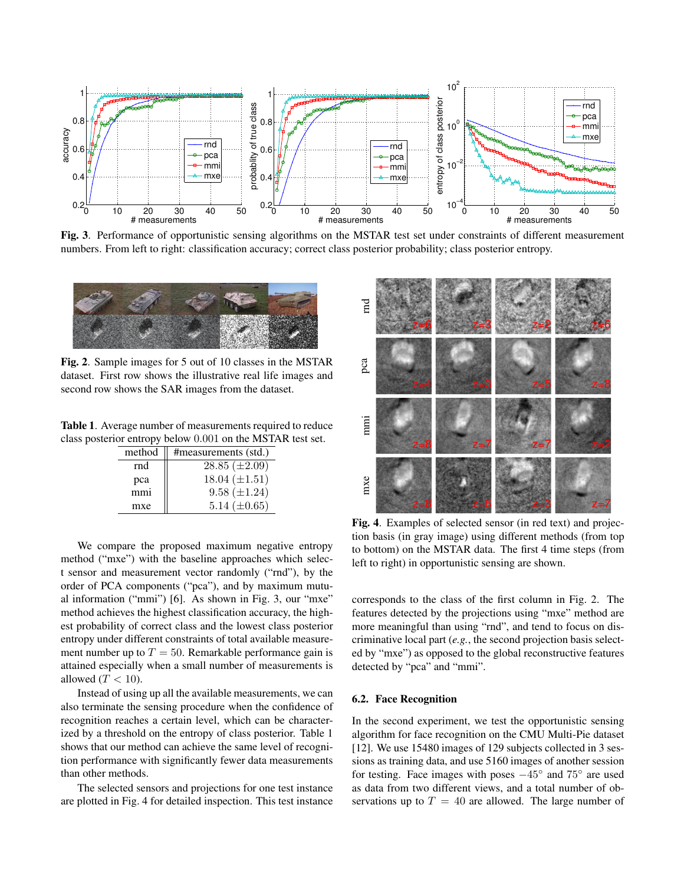

Fig. 3. Performance of opportunistic sensing algorithms on the MSTAR test set under constraints of different measurement numbers. From left to right: classification accuracy; correct class posterior probability; class posterior entropy.



Fig. 2. Sample images for 5 out of 10 classes in the MSTAR dataset. First row shows the illustrative real life images and second row shows the SAR images from the dataset.

Table 1. Average number of measurements required to reduce class posterior entropy below 0*.*001 on the MSTAR test set.

| method | #measurements (std.) |
|--------|----------------------|
| rnd    | 28.85 $(\pm 2.09)$   |
| pca    | $18.04 (\pm 1.51)$   |
| mmi    | $9.58 \ (\pm 1.24)$  |
| mxe    | 5.14 $(\pm 0.65)$    |

We compare the proposed maximum negative entropy method ("mxe") with the baseline approaches which select sensor and measurement vector randomly ("rnd"), by the order of PCA components ("pca"), and by maximum mutual information ("mmi") [6]. As shown in Fig. 3, our "mxe" method achieves the highest classification accuracy, the highest probability of correct class and the lowest class posterior entropy under different constraints of total available measurement number up to  $T = 50$ . Remarkable performance gain is attained especially when a small number of measurements is allowed  $(T < 10)$ .

Instead of using up all the available measurements, we can also terminate the sensing procedure when the confidence of recognition reaches a certain level, which can be characterized by a threshold on the entropy of class posterior. Table 1 shows that our method can achieve the same level of recognition performance with significantly fewer data measurements than other methods.

The selected sensors and projections for one test instance are plotted in Fig. 4 for detailed inspection. This test instance



Fig. 4. Examples of selected sensor (in red text) and projection basis (in gray image) using different methods (from top to bottom) on the MSTAR data. The first 4 time steps (from left to right) in opportunistic sensing are shown.

corresponds to the class of the first column in Fig. 2. The features detected by the projections using "mxe" method are more meaningful than using "rnd", and tend to focus on discriminative local part (*e.g.*, the second projection basis selected by "mxe") as opposed to the global reconstructive features detected by "pca" and "mmi".

## 6.2. Face Recognition

In the second experiment, we test the opportunistic sensing algorithm for face recognition on the CMU Multi-Pie dataset [12]. We use 15480 images of 129 subjects collected in 3 sessions as training data, and use 5160 images of another session for testing. Face images with poses *−*45*◦* and 75*◦* are used as data from two different views, and a total number of observations up to  $T = 40$  are allowed. The large number of